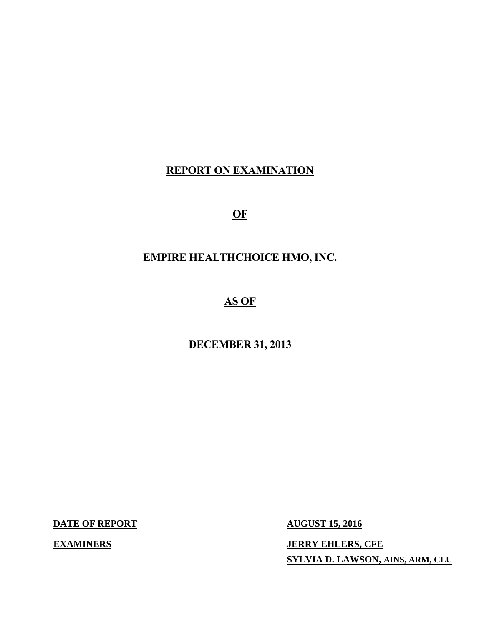# **REPORT ON EXAMINATION**

 $OF$ 

# **OF EMPIRE HEALTHCHOICE HMO, INC.**

# **AS OF**

# **DECEMBER 31, 2013**

**DATE OF REPORT AUGUST 15, 2016** 

**EXAMINERS** 

**JERRY EHLERS, CFE SYLVIA D. LAWSON, AINS, ARM, CLU**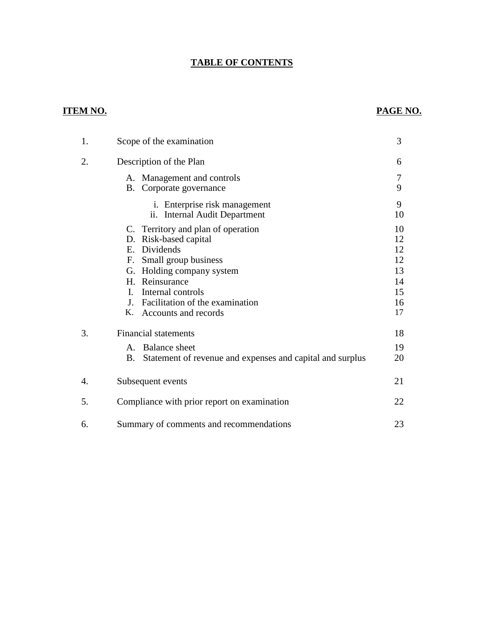# **TABLE OF CONTENTS**

# **ITEM NO. PAGE NO.**

| 1. | Scope of the examination                                                                                                                                                                                                                                    | 3                                                  |
|----|-------------------------------------------------------------------------------------------------------------------------------------------------------------------------------------------------------------------------------------------------------------|----------------------------------------------------|
| 2. | Description of the Plan                                                                                                                                                                                                                                     | 6                                                  |
|    | A. Management and controls<br>B. Corporate governance                                                                                                                                                                                                       | 7<br>9                                             |
|    | i. Enterprise risk management<br>ii. Internal Audit Department                                                                                                                                                                                              | 9<br>10                                            |
|    | C. Territory and plan of operation<br>D. Risk-based capital<br>E. Dividends<br>F. Small group business<br>G. Holding company system<br>H. Reinsurance<br>$\mathbf{L}$<br>Internal controls<br>J. Facilitation of the examination<br>K. Accounts and records | 10<br>12<br>12<br>12<br>13<br>14<br>15<br>16<br>17 |
| 3. | <b>Financial statements</b><br>A. Balance sheet<br>Statement of revenue and expenses and capital and surplus<br>B.                                                                                                                                          | 18<br>19<br>20                                     |
| 4. | Subsequent events                                                                                                                                                                                                                                           | 21                                                 |
| 5. | Compliance with prior report on examination                                                                                                                                                                                                                 | 22                                                 |
| 6. | Summary of comments and recommendations                                                                                                                                                                                                                     | 23                                                 |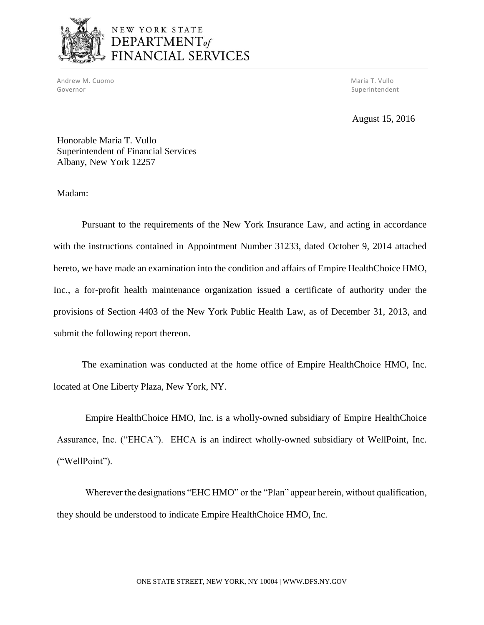

# NEW YORK STATE DEPARTMENT<sub>of</sub> FINANCIAL SERVICES

Andrew M. Cuomo National Andrew Maria T. Vullo National Andrew Maria T. Vullo National Andrew Maria T. Vullo Governor Superintendent Superintendent Superintendent Superintendent Superintendent Superintendent Superintendent Superintendent Superintendent Superintendent Superintendent Superintendent Superintendent Superintendent Sup

August 15, 2016

Honorable Maria T. Vullo Superintendent of Financial Services Albany, New York 12257

Madam:

 Pursuant to the requirements of the New York Insurance Law, and acting in accordance with the instructions contained in Appointment Number 31233, dated October 9, 2014 attached hereto, we have made an examination into the condition and affairs of Empire HealthChoice HMO, Inc., a for-profit health maintenance organization issued a certificate of authority under the provisions of Section 4403 of the New York Public Health Law, as of December 31, 2013, and submit the following report thereon.

 The examination was conducted at the home office of Empire HealthChoice HMO, Inc. located at One Liberty Plaza, New York, NY.

located at One Liberty Plaza, New York, NY.<br>Empire HealthChoice HMO, Inc. is a wholly-owned subsidiary of Empire HealthChoice Assurance, Inc. ("EHCA"). EHCA is an indirect wholly-owned subsidiary of WellPoint, Inc. ("WellPoint").

 Wherever the designations "EHC HMO" or the "Plan" appear herein, without qualification, they should be understood to indicate Empire HealthChoice HMO, Inc.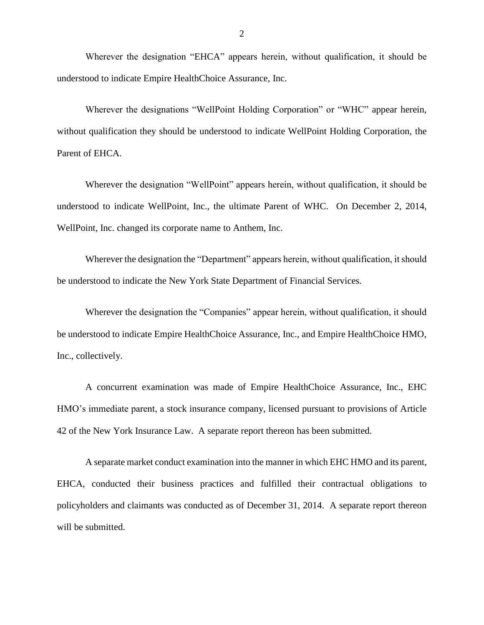Wherever the designation "EHCA" appears herein, without qualification, it should be understood to indicate Empire HealthChoice Assurance, Inc.

 Wherever the designations "WellPoint Holding Corporation" or "WHC" appear herein, without qualification they should be understood to indicate WellPoint Holding Corporation, the Parent of EHCA.

 Wherever the designation "WellPoint" appears herein, without qualification, it should be understood to indicate WellPoint, Inc., the ultimate Parent of WHC. On December 2, 2014, WellPoint, Inc. changed its corporate name to Anthem, Inc.

 Wherever the designation the "Department" appears herein, without qualification, it should be understood to indicate the New York State Department of Financial Services.

 Wherever the designation the "Companies" appear herein, without qualification, it should be understood to indicate Empire HealthChoice Assurance, Inc., and Empire HealthChoice HMO, Inc., collectively.

 A concurrent examination was made of Empire HealthChoice Assurance, Inc., EHC HMO's immediate parent, a stock insurance company, licensed pursuant to provisions of Article 42 of the New York Insurance Law. A separate report thereon has been submitted.

 A separate market conduct examination into the manner in which EHC HMO and its parent, EHCA, conducted their business practices and fulfilled their contractual obligations to policyholders and claimants was conducted as of December 31, 2014. A separate report thereon will be submitted.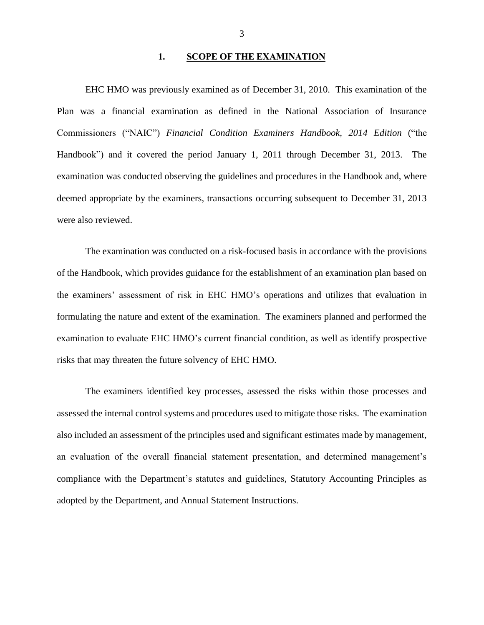#### 1. SCOPE OF THE EXAMINATION

 Plan was a financial examination as defined in the National Association of Insurance  Commissioners ("NAIC") *Financial Condition Examiners Handbook, 2014 Edition* ("the Handbook") and it covered the period January 1, 2011 through December 31, 2013. The examination was conducted observing the guidelines and procedures in the Handbook and, where deemed appropriate by the examiners, transactions occurring subsequent to December 31, 2013 EHC HMO was previously examined as of December 31, 2010. This examination of the were also reviewed.

 of the Handbook, which provides guidance for the establishment of an examination plan based on the examiners' assessment of risk in EHC HMO's operations and utilizes that evaluation in formulating the nature and extent of the examination. The examiners planned and performed the examination to evaluate EHC HMO's current financial condition, as well as identify prospective risks that may threaten the future solvency of EHC HMO. The examination was conducted on a risk-focused basis in accordance with the provisions

 assessed the internal control systems and procedures used to mitigate those risks. The examination also included an assessment of the principles used and significant estimates made by management, compliance with the Department's statutes and guidelines, Statutory Accounting Principles as adopted by the Department, and Annual Statement Instructions. The examiners identified key processes, assessed the risks within those processes and an evaluation of the overall financial statement presentation, and determined management's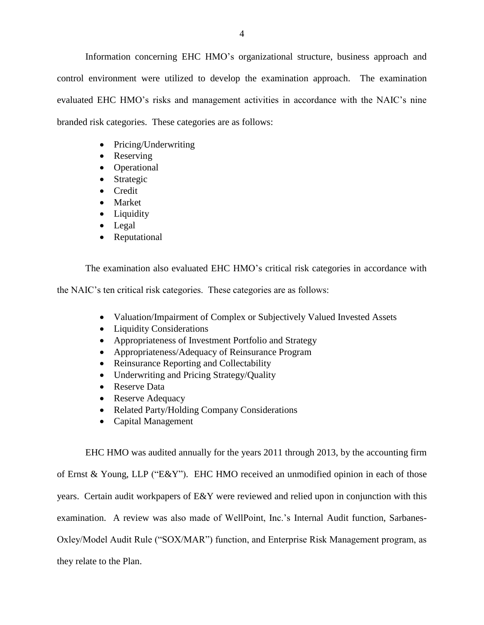Information concerning EHC HMO's organizational structure, business approach and control environment were utilized to develop the examination approach. The examination evaluated EHC HMO's risks and management activities in accordance with the NAIC's nine branded risk categories. These categories are as follows:

- Pricing/Underwriting
- Reserving
- Operational
- Strategic
- Credit
- Market
- Liquidity
- Legal
- Reputational

The examination also evaluated EHC HMO's critical risk categories in accordance with

the NAIC's ten critical risk categories. These categories are as follows:

- Valuation/Impairment of Complex or Subjectively Valued Invested Assets
- Liquidity Considerations
- Appropriateness of Investment Portfolio and Strategy
- Appropriateness/Adequacy of Reinsurance Program
- Reinsurance Reporting and Collectability
- Underwriting and Pricing Strategy/Quality
- Reserve Data
- Reserve Adequacy
- Related Party/Holding Company Considerations
- Capital Management

 EHC HMO was audited annually for the years 2011 through 2013, by the accounting firm of Ernst & Young, LLP ("E&Y"). EHC HMO received an unmodified opinion in each of those years. Certain audit workpapers of E&Y were reviewed and relied upon in conjunction with this examination. A review was also made of WellPoint, Inc.'s Internal Audit function, Sarbanes- they relate to the Plan. Oxley/Model Audit Rule ("SOX/MAR") function, and Enterprise Risk Management program, as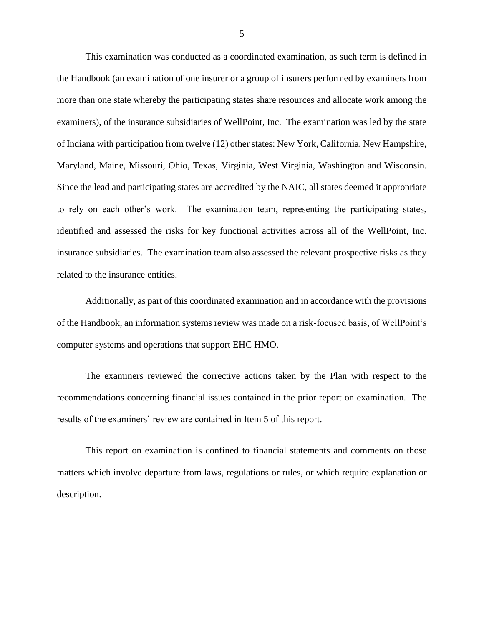This examination was conducted as a coordinated examination, as such term is defined in the Handbook (an examination of one insurer or a group of insurers performed by examiners from more than one state whereby the participating states share resources and allocate work among the of Indiana with participation from twelve (12) other states: New York, California, New Hampshire, Maryland, Maine, Missouri, Ohio, Texas, Virginia, West Virginia, Washington and Wisconsin. Maryland, Maine, Missouri, Ohio, Texas, Virginia, West Virginia, Washington and Wisconsin. Since the lead and participating states are accredited by the NAIC, all states deemed it appropriate to rely on each other's work. The examination team, representing the participating states, identified and assessed the risks for key functional activities across all of the WellPoint, Inc. related to the insurance entities. examiners), of the insurance subsidiaries of WellPoint, Inc. The examination was led by the state insurance subsidiaries. The examination team also assessed the relevant prospective risks as they

 of the Handbook, an information systems review was made on a risk-focused basis, of WellPoint's Additionally, as part of this coordinated examination and in accordance with the provisions computer systems and operations that support EHC HMO.

 recommendations concerning financial issues contained in the prior report on examination. The results of the examiners' review are contained in Item 5 of this report. The examiners reviewed the corrective actions taken by the Plan with respect to the

 matters which involve departure from laws, regulations or rules, or which require explanation or This report on examination is confined to financial statements and comments on those description.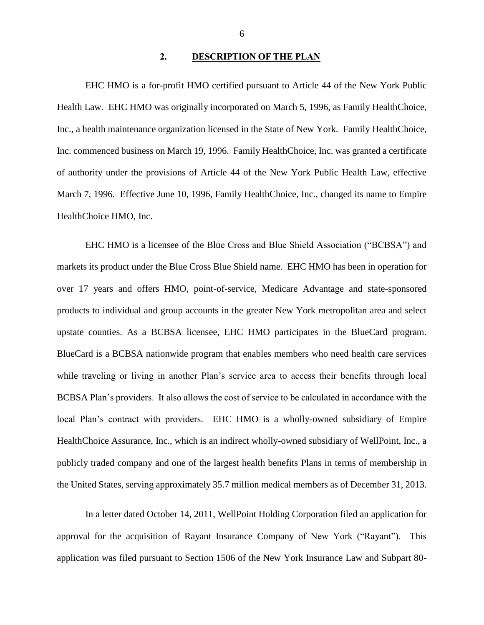#### 2. DESCRIPTION OF THE PLAN

<span id="page-7-0"></span> EHC HMO is a for-profit HMO certified pursuant to Article 44 of the New York Public Health Law. EHC HMO was originally incorporated on March 5, 1996, as Family HealthChoice, Inc., a health maintenance organization licensed in the State of New York. Family HealthChoice, Inc. commenced business on March 19, 1996. Family HealthChoice, Inc. was granted a certificate March 7, 1996. Effective June 10, 1996, Family HealthChoice, Inc., changed its name to Empire HealthChoice HMO, Inc. of authority under the provisions of Article 44 of the New York Public Health Law, effective

 EHC HMO is a licensee of the Blue Cross and Blue Shield Association ("BCBSA") and markets its product under the Blue Cross Blue Shield name. EHC HMO has been in operation for over 17 years and offers HMO, point-of-service, Medicare Advantage and state-sponsored products to individual and group accounts in the greater New York metropolitan area and select upstate counties. As a BCBSA licensee, EHC HMO participates in the BlueCard program. while traveling or living in another Plan's service area to access their benefits through local BCBSA Plan's providers. It also allows the cost of service to be calculated in accordance with the local Plan's contract with providers. EHC HMO is a wholly-owned subsidiary of Empire publicly traded company and one of the largest health benefits Plans in terms of membership in the United States, serving approximately 35.7 million medical members as of December 31, 2013. BlueCard is a BCBSA nationwide program that enables members who need health care services HealthChoice Assurance, Inc., which is an indirect wholly-owned subsidiary of WellPoint, Inc., a

 In a letter dated October 14, 2011, WellPoint Holding Corporation filed an application for approval for the acquisition of Rayant Insurance Company of New York ("Rayant"). This application was filed pursuant to Section 1506 of the New York Insurance Law and Subpart 80-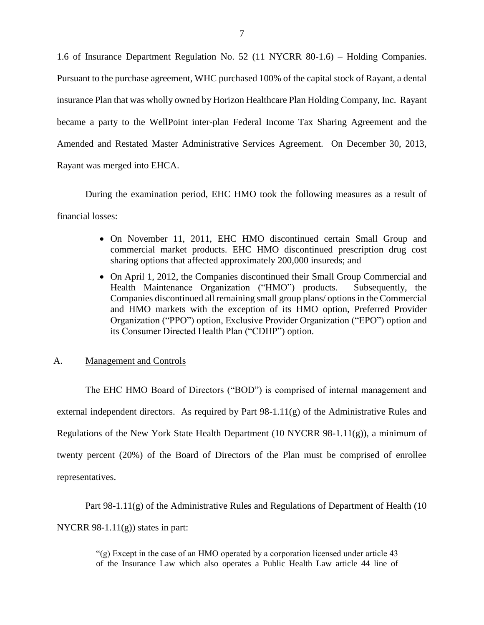<span id="page-8-0"></span> 1.6 of Insurance Department Regulation No. 52 (11 NYCRR 80-1.6) – Holding Companies. Pursuant to the purchase agreement, WHC purchased 100% of the capital stock of Rayant, a dental insurance Plan that was wholly owned by Horizon Healthcare Plan Holding Company, Inc. Rayant became a party to the WellPoint inter-plan Federal Income Tax Sharing Agreement and the Amended and Restated Master Administrative Services Agreement. On December 30, 2013, Rayant was merged into EHCA.

 During the examination period, EHC HMO took the following measures as a result of financial losses:

- On November 11, 2011, EHC HMO discontinued certain Small Group and commercial market products. EHC HMO discontinued prescription drug cost sharing options that affected approximately 200,000 insureds; and
- On April 1, 2012, the Companies discontinued their Small Group Commercial and Subsequently, the Companies discontinued all remaining small group plans/ options in the Commercial and HMO markets with the exception of its HMO option, Preferred Provider Organization ("PPO") option, Exclusive Provider Organization ("EPO") option and Health Maintenance Organization ("HMO") products. its Consumer Directed Health Plan ("CDHP") option.

#### A. Management and Controls

 The EHC HMO Board of Directors ("BOD") is comprised of internal management and external independent directors. As required by Part 98-1.11(g) of the Administrative Rules and Regulations of the New York State Health Department (10 NYCRR 98-1.11(g)), a minimum of twenty percent (20%) of the Board of Directors of the Plan must be comprised of enrollee representatives.

Part 98-1.11(g) of the Administrative Rules and Regulations of Department of Health (10 NYCRR 98-1.11 $(g)$ ) states in part:

> "(g) Except in the case of an HMO operated by a corporation licensed under article 43 of the Insurance Law which also operates a Public Health Law article 44 line of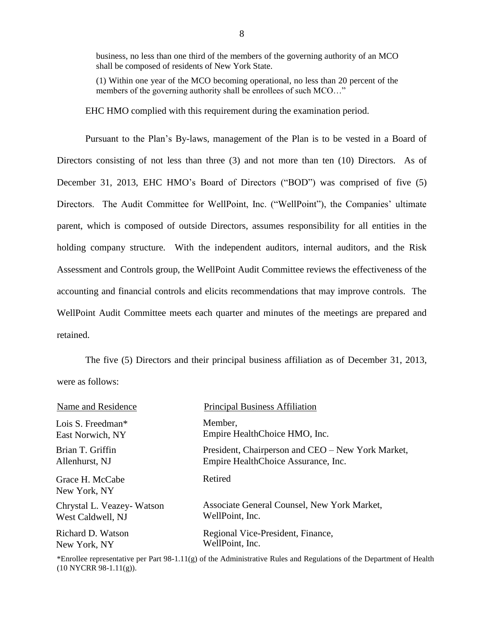business, no less than one third of the members of the governing authority of an MCO shall be composed of residents of New York State.

 (1) Within one year of the MCO becoming operational, no less than 20 percent of the members of the governing authority shall be enrollees of such MCO..."

EHC HMO complied with this requirement during the examination period.

 Pursuant to the Plan's By-laws, management of the Plan is to be vested in a Board of Directors consisting of not less than three (3) and not more than ten (10) Directors. As of December 31, 2013, EHC HMO's Board of Directors ("BOD") was comprised of five (5) Directors. The Audit Committee for WellPoint, Inc. ("WellPoint"), the Companies' ultimate parent, which is composed of outside Directors, assumes responsibility for all entities in the holding company structure. With the independent auditors, internal auditors, and the Risk Assessment and Controls group, the WellPoint Audit Committee reviews the effectiveness of the accounting and financial controls and elicits recommendations that may improve controls. The WellPoint Audit Committee meets each quarter and minutes of the meetings are prepared and retained.

 were as follows: The five (5) Directors and their principal business affiliation as of December 31, 2013,

| Name and Residence              | <b>Principal Business Affiliation</b>             |
|---------------------------------|---------------------------------------------------|
| Lois S. Freedman*               | Member,                                           |
| East Norwich, NY                | Empire HealthChoice HMO, Inc.                     |
| Brian T. Griffin                | President, Chairperson and CEO – New York Market, |
| Allenhurst, NJ                  | Empire HealthChoice Assurance, Inc.               |
| Grace H. McCabe<br>New York, NY | Retired                                           |
| Chrystal L. Veazey-Watson       | Associate General Counsel, New York Market,       |
| West Caldwell, NJ               | WellPoint, Inc.                                   |
| Richard D. Watson               | Regional Vice-President, Finance,                 |
| New York, NY                    | WellPoint, Inc.                                   |

 \*Enrollee representative per Part 98-1.11(g) of the Administrative Rules and Regulations of the Department of Health (10 NYCRR 98-1.11(g)).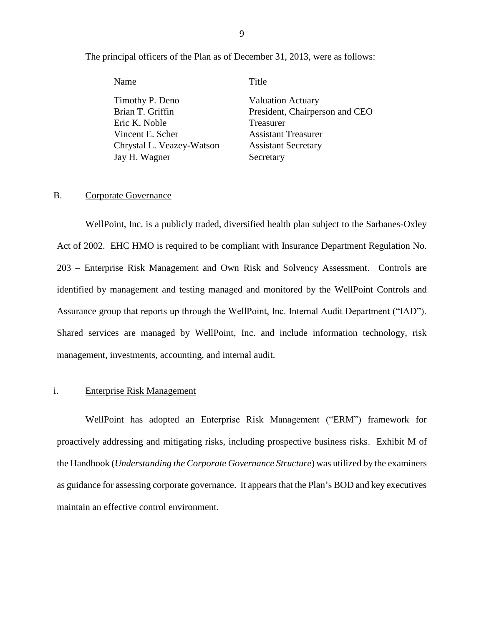The principal officers of the Plan as of December 31, 2013, were as follows:

| Name                      | Title                          |
|---------------------------|--------------------------------|
| Timothy P. Deno           | <b>Valuation Actuary</b>       |
| Brian T. Griffin          | President, Chairperson and CEO |
| Eric K. Noble             | Treasurer                      |
| Vincent E. Scher          | <b>Assistant Treasurer</b>     |
| Chrystal L. Veazey-Watson | <b>Assistant Secretary</b>     |
| Jay H. Wagner             | Secretary                      |

#### B. Corporate Governance

 WellPoint, Inc. is a publicly traded, diversified health plan subject to the Sarbanes-Oxley Act of 2002. EHC HMO is required to be compliant with Insurance Department Regulation No. 203 – Enterprise Risk Management and Own Risk and Solvency Assessment. Controls are identified by management and testing managed and monitored by the WellPoint Controls and Assurance group that reports up through the WellPoint, Inc. Internal Audit Department ("IAD"). management, investments, accounting, and internal audit. Shared services are managed by WellPoint, Inc. and include information technology, risk

#### i. Enterprise Risk Management

 WellPoint has adopted an Enterprise Risk Management ("ERM") framework for proactively addressing and mitigating risks, including prospective business risks. Exhibit M of  the Handbook (*Understanding the Corporate Governance Structure*) was utilized by the examiners as guidance for assessing corporate governance. It appears that the Plan's BOD and key executives maintain an effective control environment.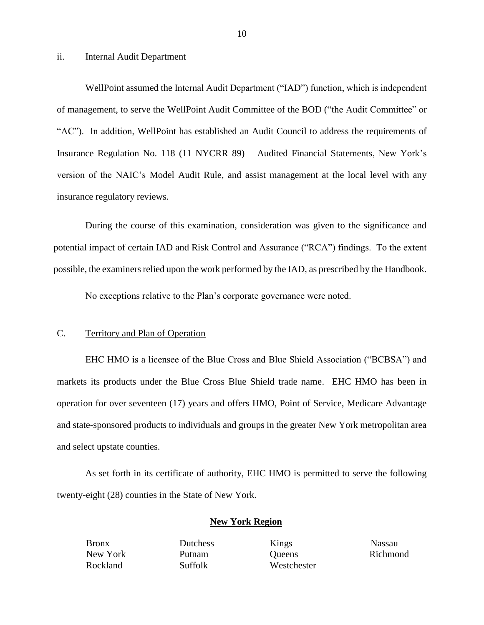#### ii. **Internal Audit Department**

 of management, to serve the WellPoint Audit Committee of the BOD ("the Audit Committee" or Insurance Regulation No. 118 (11 NYCRR 89) – Audited Financial Statements, New York's version of the NAIC's Model Audit Rule, and assist management at the local level with any insurance regulatory reviews. insurance regulatory reviews.<br>During the course of this examination, consideration was given to the significance and WellPoint assumed the Internal Audit Department ("IAD") function, which is independent "AC"). In addition, WellPoint has established an Audit Council to address the requirements of

potential impact of certain IAD and Risk Control and Assurance ("RCA") findings. To the extent possible, the examiners relied upon the work performed by the IAD, as prescribed by the Handbook.

No exceptions relative to the Plan's corporate governance were noted.

#### C. Territory and Plan of Operation

 EHC HMO is a licensee of the Blue Cross and Blue Shield Association ("BCBSA") and markets its products under the Blue Cross Blue Shield trade name. EHC HMO has been in operation for over seventeen (17) years and offers HMO, Point of Service, Medicare Advantage and state-sponsored products to individuals and groups in the greater New York metropolitan area and select upstate counties.

 As set forth in its certificate of authority, EHC HMO is permitted to serve the following twenty-eight (28) counties in the State of New York.

#### **New York Region**

Bronx Dutchess Kings Nassau New York Putnam Queens Richmond Rockland Suffolk Westchester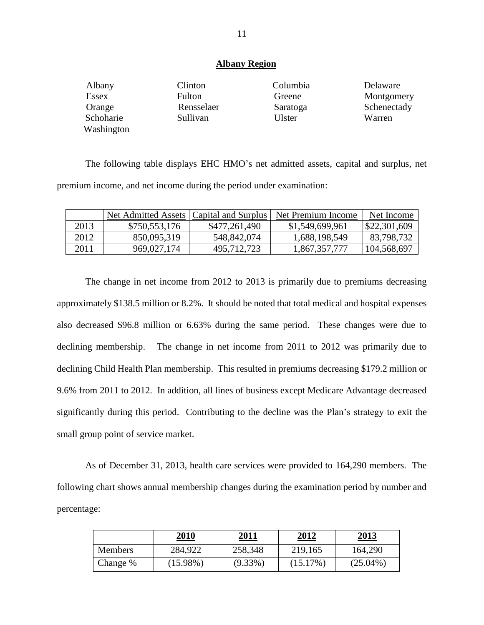#### **Albany Region**

| Albany     | Clinton    | Columbia | Delaware    |
|------------|------------|----------|-------------|
| Essex      | Fulton     | Greene   | Montgomery  |
| Orange     | Rensselaer | Saratoga | Schenectady |
| Schoharie  | Sullivan   | Ulster   | Warren      |
| Washington |            |          |             |

 The following table displays EHC HMO's net admitted assets, capital and surplus, net premium income, and net income during the period under examination:

|      | Net Admitted Assets   Capital and Surplus |               | Net Premium Income | Net Income              |
|------|-------------------------------------------|---------------|--------------------|-------------------------|
| 2013 | \$750,553,176                             | \$477,261,490 | \$1,549,699,961    | $\frac{1}{2}22,301,609$ |
| 2012 | 850,095,319                               | 548,842,074   | 1,688,198,549      | 83,798,732              |
| 2011 | 969,027,174                               | 495,712,723   | 1,867,357,777      | 104,568,697             |

 The change in net income from 2012 to 2013 is primarily due to premiums decreasing approximately \$138.5 million or 8.2%. It should be noted that total medical and hospital expenses also decreased \$96.8 million or 6.63% during the same period. These changes were due to declining membership. 9.6% from 2011 to 2012. In addition, all lines of business except Medicare Advantage decreased significantly during this period. Contributing to the decline was the Plan's strategy to exit the small group point of service market. The change in net income from 2011 to 2012 was primarily due to declining Child Health Plan membership. This resulted in premiums decreasing \$179.2 million or

 As of December 31, 2013, health care services were provided to 164,290 members. The following chart shows annual membership changes during the examination period by number and percentage:

|                | 2010        | 2011       | 2012        | 2013        |
|----------------|-------------|------------|-------------|-------------|
| <b>Members</b> | 284,922     | 258,348    | 219,165     | 164,290     |
| Change %       | $(15.98\%)$ | $(9.33\%)$ | $(15.17\%)$ | $(25.04\%)$ |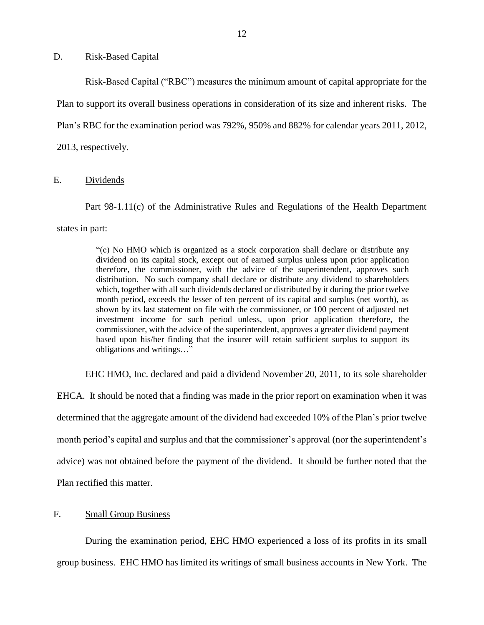#### <span id="page-13-0"></span>D. Risk-Based Capital

 Plan to support its overall business operations in consideration of its size and inherent risks. The Plan's RBC for the examination period was 792%, 950% and 882% for calendar years 2011, 2012, 2013, respectively.<br>E. Dividends Risk-Based Capital ("RBC") measures the minimum amount of capital appropriate for the

 states in part: Part 98-1.11(c) of the Administrative Rules and Regulations of the Health Department

> "(c) No HMO which is organized as a stock corporation shall declare or distribute any dividend on its capital stock, except out of earned surplus unless upon prior application distribution. No such company shall declare or distribute any dividend to shareholders which, together with all such dividends declared or distributed by it during the prior twelve month period, exceeds the lesser of ten percent of its capital and surplus (net worth), as shown by its last statement on file with the commissioner, or 100 percent of adjusted net investment income for such period unless, upon prior application therefore, the commissioner, with the advice of the superintendent, approves a greater dividend payment based upon his/her finding that the insurer will retain sufficient surplus to support its therefore, the commissioner, with the advice of the superintendent, approves such obligations and writings…"

EHC HMO, Inc. declared and paid a dividend November 20, 2011, to its sole shareholder

 EHCA. It should be noted that a finding was made in the prior report on examination when it was determined that the aggregate amount of the dividend had exceeded 10% of the Plan's prior twelve month period's capital and surplus and that the commissioner's approval (nor the superintendent's advice) was not obtained before the payment of the dividend. It should be further noted that the Plan rectified this matter.

#### F. Small Group Business

 During the examination period, EHC HMO experienced a loss of its profits in its small group business. EHC HMO has limited its writings of small business accounts in New York. The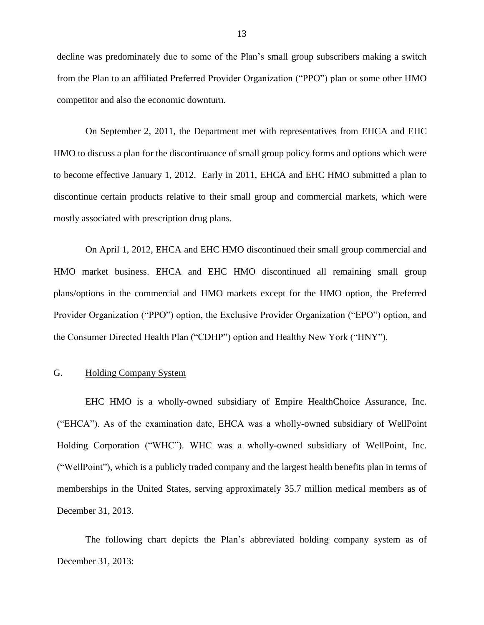<span id="page-14-0"></span> decline was predominately due to some of the Plan's small group subscribers making a switch from the Plan to an affiliated Preferred Provider Organization ("PPO") plan or some other HMO competitor and also the economic downturn.

 HMO to discuss a plan for the discontinuance of small group policy forms and options which were to become effective January 1, 2012. Early in 2011, EHCA and EHC HMO submitted a plan to discontinue certain products relative to their small group and commercial markets, which were On September 2, 2011, the Department met with representatives from EHCA and EHC mostly associated with prescription drug plans.

 On April 1, 2012, EHCA and EHC HMO discontinued their small group commercial and HMO market business. EHCA and EHC HMO discontinued all remaining small group plans/options in the commercial and HMO markets except for the HMO option, the Preferred the Consumer Directed Health Plan ("CDHP") option and Healthy New York ("HNY"). Provider Organization ("PPO") option, the Exclusive Provider Organization ("EPO") option, and

#### G. Holding Company System

 EHC HMO is a wholly-owned subsidiary of Empire HealthChoice Assurance, Inc. ("EHCA"). As of the examination date, EHCA was a wholly-owned subsidiary of WellPoint ("WellPoint"), which is a publicly traded company and the largest health benefits plan in terms of memberships in the United States, serving approximately 35.7 million medical members as of Holding Corporation ("WHC"). WHC was a wholly-owned subsidiary of WellPoint, Inc. December 31, 2013.

The following chart depicts the Plan's abbreviated holding company system as of December 31, 2013: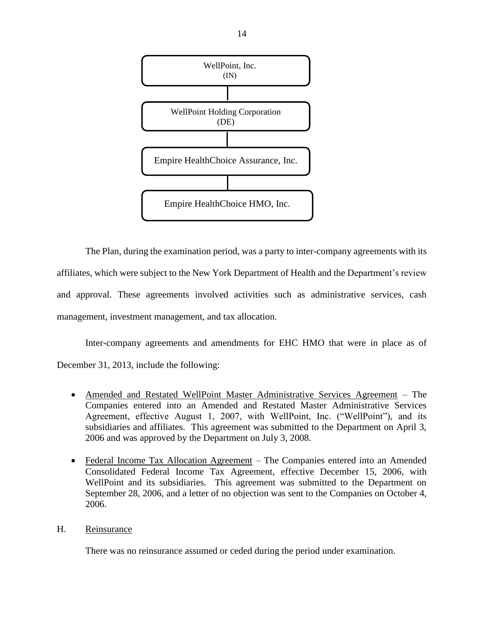<span id="page-15-0"></span>

 The Plan, during the examination period, was a party to inter-company agreements with its affiliates, which were subject to the New York Department of Health and the Department's review and approval. These agreements involved activities such as administrative services, cash management, investment management, and tax allocation.

 Inter-company agreements and amendments for EHC HMO that were in place as of December 31, 2013, include the following:

- Amended and Restated WellPoint Master Administrative Services Agreement The Companies entered into an Amended and Restated Master Administrative Services subsidiaries and affiliates. This agreement was submitted to the Department on April 3, Agreement, effective August 1, 2007, with WellPoint, Inc. ("WellPoint"), and its 2006 and was approved by the Department on July 3, 2008.
- Federal Income Tax Allocation Agreement The Companies entered into an Amended Consolidated Federal Income Tax Agreement, effective December 15, 2006, with September 28, 2006, and a letter of no objection was sent to the Companies on October 4, WellPoint and its subsidiaries. This agreement was submitted to the Department on 2006.

### H. Reinsurance

There was no reinsurance assumed or ceded during the period under examination.

14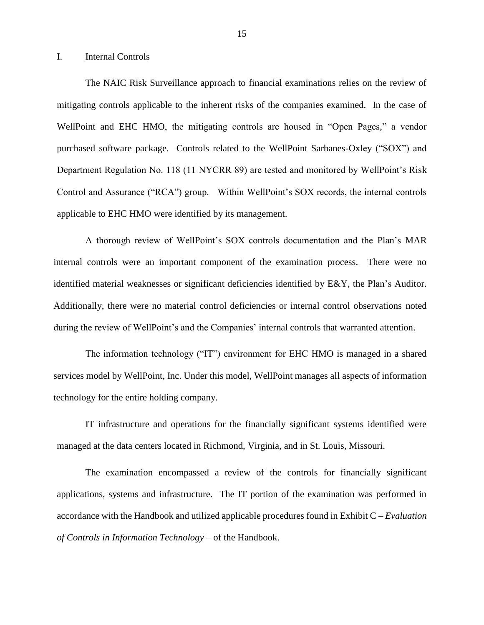#### <span id="page-16-0"></span>I. Internal Controls

 mitigating controls applicable to the inherent risks of the companies examined. In the case of WellPoint and EHC HMO, the mitigating controls are housed in "Open Pages," a vendor purchased software package. Controls related to the WellPoint Sarbanes-Oxley ("SOX") and Department Regulation No. 118 (11 NYCRR 89) are tested and monitored by WellPoint's Risk Control and Assurance ("RCA") group. Within WellPoint's SOX records, the internal controls applicable to EHC HMO were identified by its management. The NAIC Risk Surveillance approach to financial examinations relies on the review of

 internal controls were an important component of the examination process. There were no identified material weaknesses or significant deficiencies identified by E&Y, the Plan's Auditor. Additionally, there were no material control deficiencies or internal control observations noted A thorough review of WellPoint's SOX controls documentation and the Plan's MAR during the review of WellPoint's and the Companies' internal controls that warranted attention.

 The information technology ("IT") environment for EHC HMO is managed in a shared services model by WellPoint, Inc. Under this model, WellPoint manages all aspects of information technology for the entire holding company.

IT infrastructure and operations for the financially significant systems identified were managed at the data centers located in Richmond, Virginia, and in St. Louis, Missouri.

 The examination encompassed a review of the controls for financially significant applications, systems and infrastructure. The IT portion of the examination was performed in accordance with the Handbook and utilized applicable procedures found in Exhibit C – *Evaluation of Controls in Information Technology* – of the Handbook.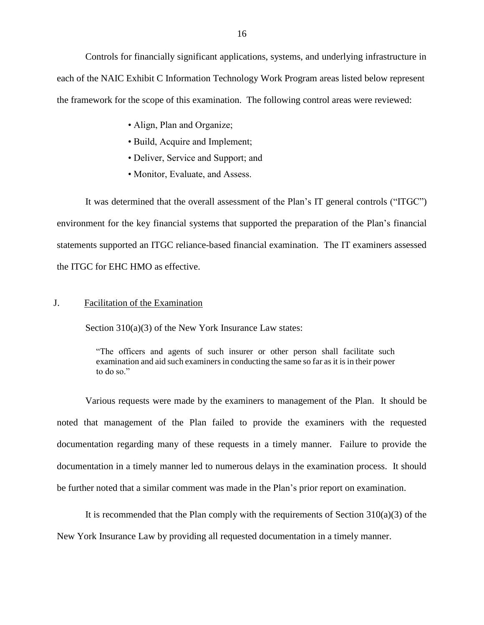<span id="page-17-0"></span> Controls for financially significant applications, systems, and underlying infrastructure in each of the NAIC Exhibit C Information Technology Work Program areas listed below represent the framework for the scope of this examination. The following control areas were reviewed:

- Align, Plan and Organize;
- Build, Acquire and Implement;
- Deliver, Service and Support; and
- Monitor, Evaluate, and Assess.

 It was determined that the overall assessment of the Plan's IT general controls ("ITGC") environment for the key financial systems that supported the preparation of the Plan's financial statements supported an ITGC reliance-based financial examination. The IT examiners assessed the ITGC for EHC HMO as effective.

#### J. Facilitation of the Examination

Section 310(a)(3) of the New York Insurance Law states:

 "The officers and agents of such insurer or other person shall facilitate such examination and aid such examiners in conducting the same so far as it is in their power to do so."

 Various requests were made by the examiners to management of the Plan. It should be noted that management of the Plan failed to provide the examiners with the requested documentation regarding many of these requests in a timely manner. Failure to provide the documentation in a timely manner led to numerous delays in the examination process. It should be further noted that a similar comment was made in the Plan's prior report on examination.

It is recommended that the Plan comply with the requirements of Section  $310(a)(3)$  of the New York Insurance Law by providing all requested documentation in a timely manner.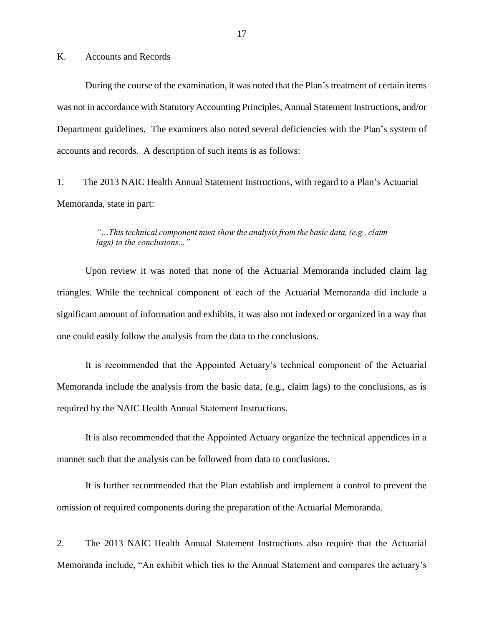#### <span id="page-18-0"></span>K. Accounts and Records

 was not in accordance with Statutory Accounting Principles, Annual Statement Instructions, and/or Department guidelines. The examiners also noted several deficiencies with the Plan's system of During the course of the examination, it was noted that the Plan's treatment of certain items accounts and records. A description of such items is as follows:

 Memoranda, state in part: 1. The 2013 NAIC Health Annual Statement Instructions, with regard to a Plan's Actuarial

#### *"…This technical component mustshow the analysis from the basic data, (e.g., claim lags) to the conclusions..."*

 Upon review it was noted that none of the Actuarial Memoranda included claim lag triangles. While the technical component of each of the Actuarial Memoranda did include a significant amount of information and exhibits, it was also not indexed or organized in a way that one could easily follow the analysis from the data to the conclusions.

 Memoranda include the analysis from the basic data, (e.g., claim lags) to the conclusions, as is It is recommended that the Appointed Actuary's technical component of the Actuarial required by the NAIC Health Annual Statement Instructions.

 It is also recommended that the Appointed Actuary organize the technical appendices in a manner such that the analysis can be followed from data to conclusions.

 It is further recommended that the Plan establish and implement a control to prevent the omission of required components during the preparation of the Actuarial Memoranda.

2. The 2013 NAIC Health Annual Statement Instructions also require that the Actuarial Memoranda include, "An exhibit which ties to the Annual Statement and compares the actuary's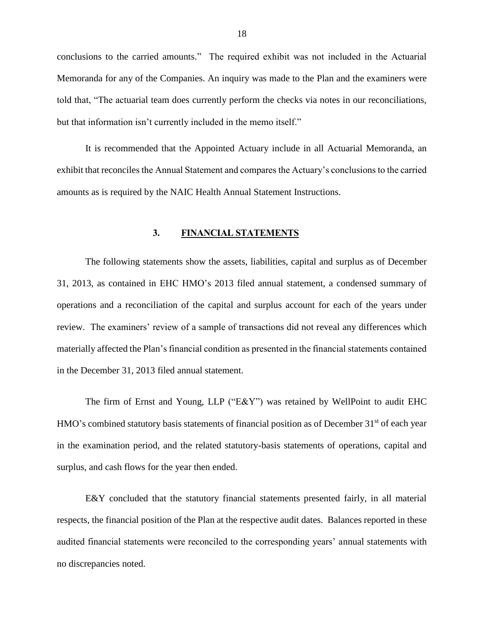<span id="page-19-0"></span> conclusions to the carried amounts." The required exhibit was not included in the Actuarial Memoranda for any of the Companies. An inquiry was made to the Plan and the examiners were told that, "The actuarial team does currently perform the checks via notes in our reconciliations, but that information isn't currently included in the memo itself."

 It is recommended that the Appointed Actuary include in all Actuarial Memoranda, an exhibit that reconciles the Annual Statement and compares the Actuary's conclusions to the carried amounts as is required by the NAIC Health Annual Statement Instructions.

#### **3. FINANCIAL STATEMENTS**

 The following statements show the assets, liabilities, capital and surplus as of December review. The examiners' review of a sample of transactions did not reveal any differences which materially affected the Plan's financial condition as presented in the financial statements contained 31, 2013, as contained in EHC HMO's 2013 filed annual statement, a condensed summary of operations and a reconciliation of the capital and surplus account for each of the years under in the December 31, 2013 filed annual statement.

 The firm of Ernst and Young, LLP ("E&Y") was retained by WellPoint to audit EHC HMO's combined statutory basis statements of financial position as of December 31<sup>st</sup> of each year in the examination period, and the related statutory-basis statements of operations, capital and surplus, and cash flows for the year then ended.

 E&Y concluded that the statutory financial statements presented fairly, in all material respects, the financial position of the Plan at the respective audit dates. Balances reported in these audited financial statements were reconciled to the corresponding years' annual statements with no discrepancies noted.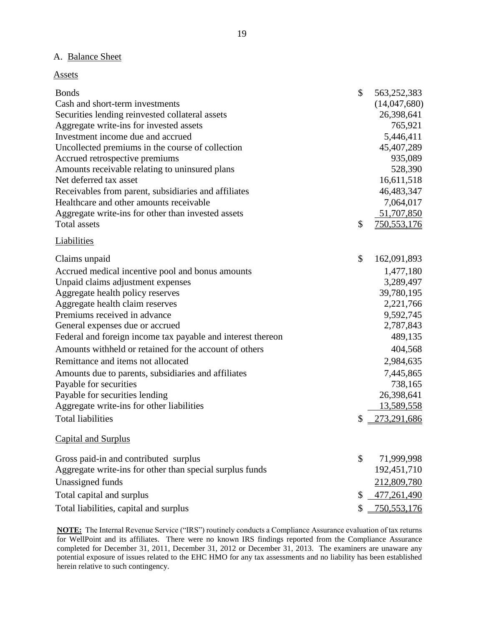#### A. Balance Sheet

| <b>Bonds</b>                                                | \$<br>563,252,383 |
|-------------------------------------------------------------|-------------------|
| Cash and short-term investments                             | (14,047,680)      |
| Securities lending reinvested collateral assets             | 26,398,641        |
| Aggregate write-ins for invested assets                     | 765,921           |
| Investment income due and accrued                           | 5,446,411         |
| Uncollected premiums in the course of collection            | 45,407,289        |
| Accrued retrospective premiums                              | 935,089           |
| Amounts receivable relating to uninsured plans              | 528,390           |
| Net deferred tax asset                                      | 16,611,518        |
| Receivables from parent, subsidiaries and affiliates        | 46,483,347        |
| Healthcare and other amounts receivable                     | 7,064,017         |
| Aggregate write-ins for other than invested assets          | 51,707,850        |
| <b>Total assets</b>                                         | \$<br>750,553,176 |
| <b>Liabilities</b>                                          |                   |
| Claims unpaid                                               | \$<br>162,091,893 |
| Accrued medical incentive pool and bonus amounts            | 1,477,180         |
| Unpaid claims adjustment expenses                           | 3,289,497         |
| Aggregate health policy reserves                            | 39,780,195        |
| Aggregate health claim reserves                             | 2,221,766         |
| Premiums received in advance                                | 9,592,745         |
| General expenses due or accrued                             | 2,787,843         |
| Federal and foreign income tax payable and interest thereon | 489,135           |
| Amounts withheld or retained for the account of others      | 404,568           |
| Remittance and items not allocated                          | 2,984,635         |
| Amounts due to parents, subsidiaries and affiliates         | 7,445,865         |
| Payable for securities                                      | 738,165           |
| Payable for securities lending                              | 26,398,641        |
| Aggregate write-ins for other liabilities                   | <u>13,589,558</u> |
| <b>Total liabilities</b>                                    | \$<br>273,291,686 |
| <b>Capital and Surplus</b>                                  |                   |
| Gross paid-in and contributed surplus                       | \$<br>71,999,998  |
| Aggregate write-ins for other than special surplus funds    | 192,451,710       |
| Unassigned funds                                            | 212,809,780       |
| Total capital and surplus                                   | \$<br>477,261,490 |
| Total liabilities, capital and surplus                      | \$<br>750,553,176 |

 **NOTE:** The Internal Revenue Service ("IRS") routinely conducts a Compliance Assurance evaluation of tax returns for WellPoint and its affiliates. There were no known IRS findings reported from the Compliance Assurance completed for December 31, 2011, December 31, 2012 or December 31, 2013. The examiners are unaware any potential exposure of issues related to the EHC HMO for any tax assessments and no liability has been established herein relative to such contingency.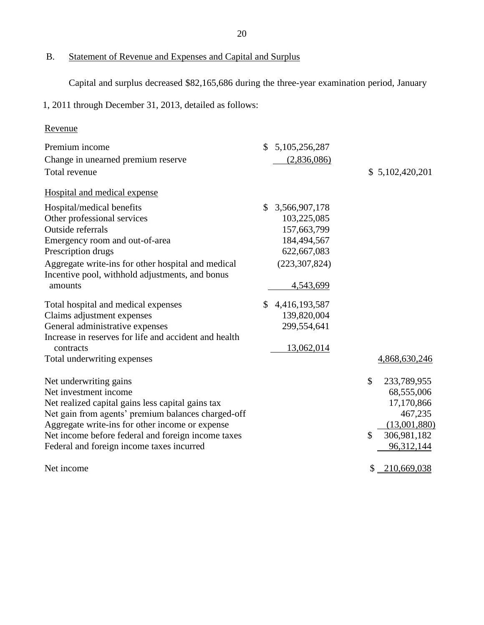$B.$ Statement of Revenue and Expenses and Capital and Surplus

Capital and surplus decreased \$82,165,686 during the three-year examination period, January

1, 2011 through December 31, 2013, detailed as follows:

# Revenue

| Premium income                                        | 5,105,256,287<br>\$ |                              |
|-------------------------------------------------------|---------------------|------------------------------|
| Change in unearned premium reserve                    | (2,836,086)         |                              |
| Total revenue                                         |                     | \$5,102,420,201              |
| Hospital and medical expense                          |                     |                              |
| Hospital/medical benefits                             | \$<br>3,566,907,178 |                              |
| Other professional services                           | 103,225,085         |                              |
| Outside referrals                                     | 157,663,799         |                              |
| Emergency room and out-of-area                        | 184,494,567         |                              |
| Prescription drugs                                    | 622,667,083         |                              |
| Aggregate write-ins for other hospital and medical    | (223, 307, 824)     |                              |
| Incentive pool, withhold adjustments, and bonus       |                     |                              |
| amounts                                               | 4,543,699           |                              |
| Total hospital and medical expenses                   | \$<br>4,416,193,587 |                              |
| Claims adjustment expenses                            | 139,820,004         |                              |
| General administrative expenses                       | 299,554,641         |                              |
| Increase in reserves for life and accident and health |                     |                              |
| contracts                                             | 13,062,014          |                              |
| Total underwriting expenses                           |                     | 4,868,630,246                |
| Net underwriting gains                                |                     | $\mathcal{S}$<br>233,789,955 |
| Net investment income                                 |                     | 68,555,006                   |
| Net realized capital gains less capital gains tax     |                     | 17,170,866                   |
| Net gain from agents' premium balances charged-off    |                     | 467,235                      |
| Aggregate write-ins for other income or expense       |                     | (13,001,880)                 |
| Net income before federal and foreign income taxes    |                     | \$<br>306,981,182            |
| Federal and foreign income taxes incurred             |                     | 96,312,144                   |
| Net income                                            |                     | \$<br>210,669,038            |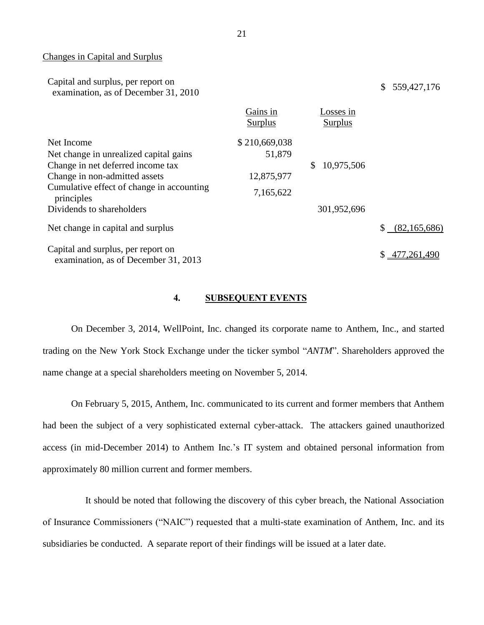#### Changes in Capital and Surplus

| Capital and surplus, per report on   | \$ 559,427,176 |
|--------------------------------------|----------------|
| examination, as of December 31, 2010 |                |

|                                                                            | Gains in<br>Surplus | Losses in<br>Surplus |                |
|----------------------------------------------------------------------------|---------------------|----------------------|----------------|
| Net Income                                                                 | \$210,669,038       |                      |                |
| Net change in unrealized capital gains                                     | 51,879              |                      |                |
| Change in net deferred income tax                                          |                     | 10,975,506           |                |
| Change in non-admitted assets                                              | 12,875,977          |                      |                |
| Cumulative effect of change in accounting<br>principles                    | 7,165,622           |                      |                |
| Dividends to shareholders                                                  |                     | 301,952,696          |                |
| Net change in capital and surplus                                          |                     |                      | (82, 165, 686) |
| Capital and surplus, per report on<br>examination, as of December 31, 2013 |                     |                      | \$477,261,490  |

#### **4. SUBSEQUENT EVENTS**

 On December 3, 2014, WellPoint, Inc. changed its corporate name to [Anthem, Inc.,](http://cts.businesswire.com/ct/CT?id=smartlink&url=http%3A%2F%2Fwww.antheminc.com%2F&esheet=50995323&newsitemid=20141203005152&lan=en-US&anchor=Anthem%2C+Inc.%2C&index=1&md5=766c119a36e7ae689cd4262cb118c052) and started trading on the New York Stock Exchange under the ticker symbol "*ANTM*". Shareholders approved the name change at a special shareholders meeting on November 5, 2014.

 On February 5, 2015, Anthem, Inc. communicated to its current and former members that Anthem had been the subject of a very sophisticated external cyber-attack. The attackers gained unauthorized access (in mid-December 2014) to Anthem Inc.'s IT system and obtained personal information from approximately 80 million current and former members.

 of Insurance Commissioners ("NAIC") requested that a multi-state examination of Anthem, Inc. and its It should be noted that following the discovery of this cyber breach, the National Association subsidiaries be conducted. A separate report of their findings will be issued at a later date.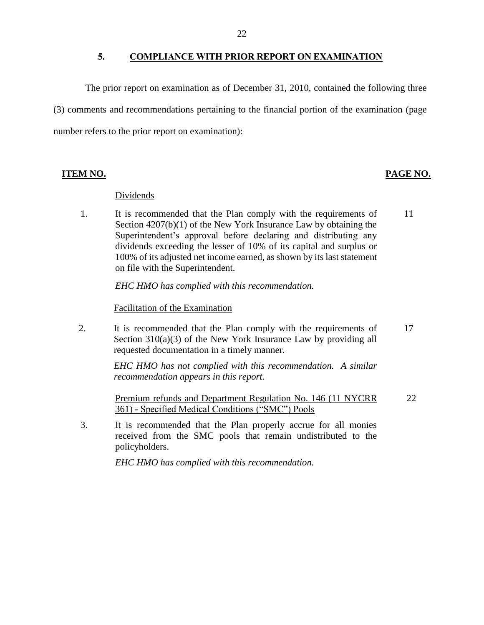#### **5. COMPLIANCE WITH PRIOR REPORT ON EXAMINATION**

<span id="page-23-0"></span> (3) comments and recommendations pertaining to the financial portion of the examination (page The prior report on examination as of December 31, 2010, contained the following three number refers to the prior report on examination):

#### **ITEM NO. PAGE NO. PAGE NO.**

#### Dividends

 Section 4207(b)(1) of the New York Insurance Law by obtaining the Superintendent's approval before declaring and distributing any 1. It is recommended that the Plan comply with the requirements of 11 dividends exceeding the lesser of 10% of its capital and surplus or 100% of its adjusted net income earned, as shown by its last statement on file with the Superintendent.

*EHC HMO has complied with this recommendation.* 

Facilitation of the Examination

Section  $310(a)(3)$  of the New York Insurance Law by providing all 2. It is recommended that the Plan comply with the requirements of 17 requested documentation in a timely manner.

> *EHC HMO has not complied with this recommendation. A similar recommendation appears in this report.*

Premium refunds and Department Regulation No. 146 (11 NYCRR 361) - Specified Medical Conditions ("SMC") Pools 22

 3. It is recommended that the Plan properly accrue for all monies received from the SMC pools that remain undistributed to the policyholders.

*EHC HMO has complied with this recommendation.*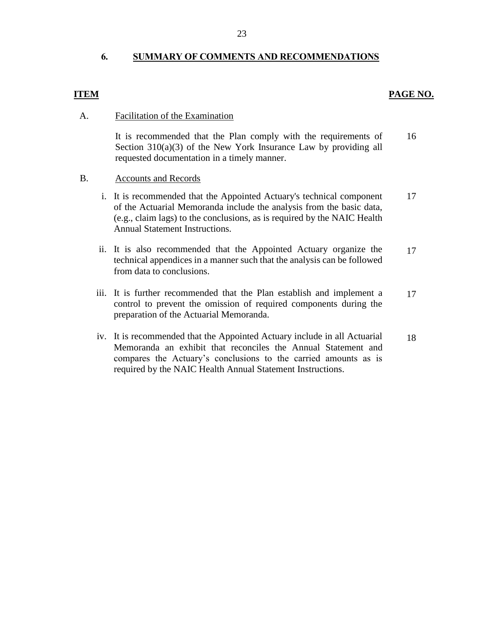## <span id="page-24-0"></span> **6. SUMMARY OF COMMENTS AND RECOMMENDATIONS**

#### **ITEM**

#### **PAGE NO.**

#### A. Facilitation of the Examination

Section 310(a)(3) of the New York Insurance Law by providing all It is recommended that the Plan comply with the requirements of requested documentation in a timely manner. 16

#### B. Accounts and Records

- of the Actuarial Memoranda include the analysis from the basic data, i. It is recommended that the Appointed Actuary's technical component (e.g., claim lags) to the conclusions, as is required by the NAIC Health Annual Statement Instructions. 17
- ii. It is also recommended that the Appointed Actuary organize the technical appendices in a manner such that the analysis can be followed from data to conclusions. 17
- control to prevent the omission of required components during the iii. It is further recommended that the Plan establish and implement a preparation of the Actuarial Memoranda. 17
- iv. It is recommended that the Appointed Actuary include in all Actuarial Memoranda an exhibit that reconciles the Annual Statement and compares the Actuary's conclusions to the carried amounts as is required by the NAIC Health Annual Statement Instructions. 18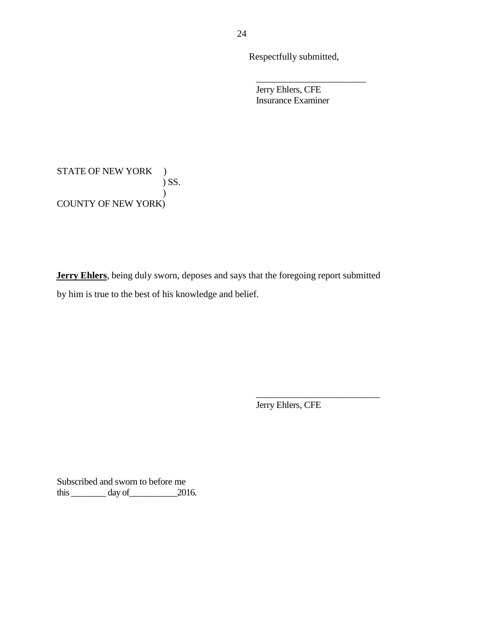Respectfully submitted,

\_\_\_\_\_\_\_\_\_\_\_\_\_\_\_\_\_\_\_\_\_\_\_\_

 Jerry Ehlers, CFE Insurance Examiner

STATE OF NEW YORK ) COUNTY OF NEW YORK) ) SS.  $\mathcal{L}$ 

 **Jerry Ehlers**, being duly sworn, deposes and says that the foregoing report submitted by him is true to the best of his knowledge and belief.

Jerry Ehlers, CFE

 $\frac{1}{2}$  ,  $\frac{1}{2}$  ,  $\frac{1}{2}$  ,  $\frac{1}{2}$  ,  $\frac{1}{2}$  ,  $\frac{1}{2}$  ,  $\frac{1}{2}$  ,  $\frac{1}{2}$  ,  $\frac{1}{2}$  ,  $\frac{1}{2}$  ,  $\frac{1}{2}$  ,  $\frac{1}{2}$  ,  $\frac{1}{2}$  ,  $\frac{1}{2}$  ,  $\frac{1}{2}$  ,  $\frac{1}{2}$  ,  $\frac{1}{2}$  ,  $\frac{1}{2}$  ,  $\frac{1$ 

 Subscribed and sworn to before me this  $\_\_\_\_\_\_\$  day of  $\_\_\_\_\_2$  2016.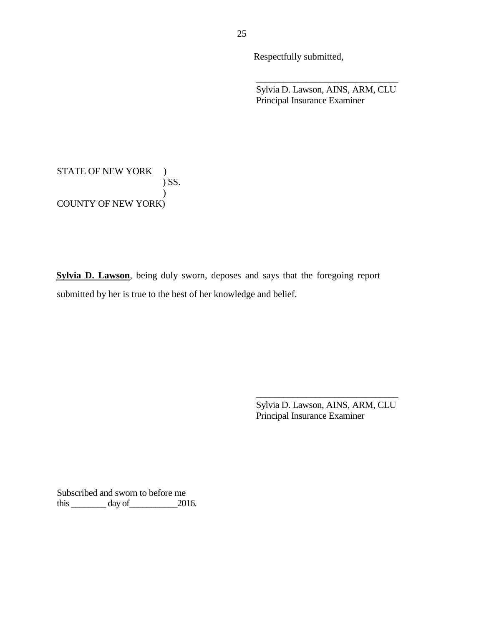Respectfully submitted,

 Principal Insurance Examiner Sylvia D. Lawson, AINS, ARM, CLU

\_\_\_\_\_\_\_\_\_\_\_\_\_\_\_\_\_\_\_\_\_\_\_\_\_\_\_\_\_\_\_

STATE OF NEW YORK ) COUNTY OF NEW YORK) ) SS.  $\mathcal{L}$ 

 **Sylvia D. Lawson**, being duly sworn, deposes and says that the foregoing report submitted by her is true to the best of her knowledge and belief.

> Sylvia D. Lawson, AINS, ARM, CLU Principal Insurance Examiner

\_\_\_\_\_\_\_\_\_\_\_\_\_\_\_\_\_\_\_\_\_\_\_\_\_\_\_\_\_\_\_

 Subscribed and sworn to before me this  $\_\_\_\_\_$  day of  $\_\_\_\_$  2016.